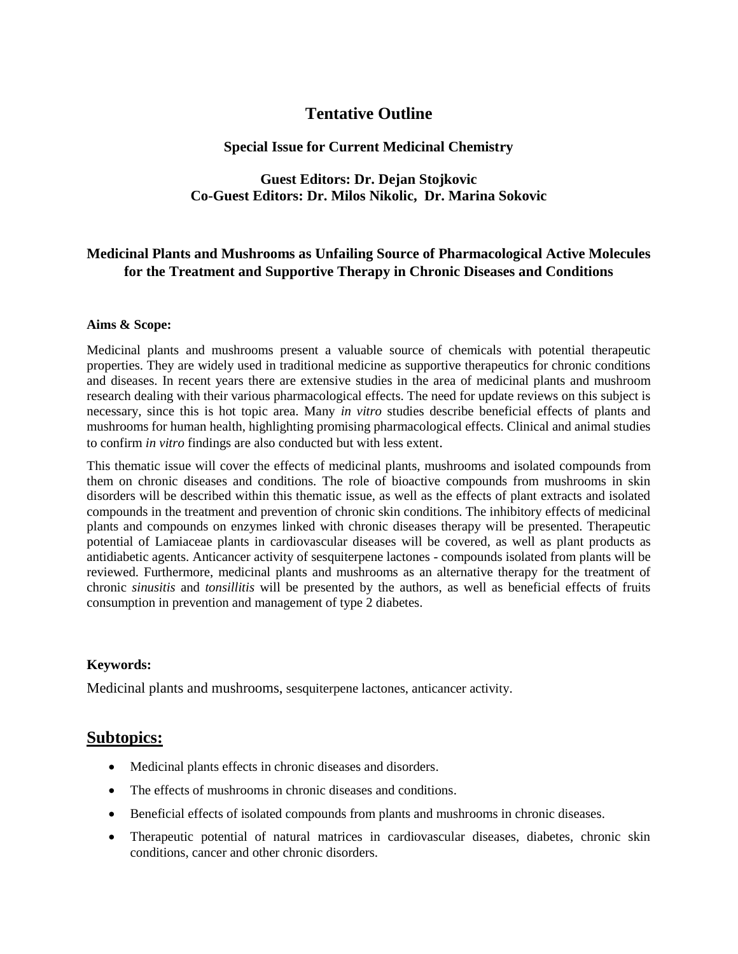## **Tentative Outline**

#### **Special Issue for Current Medicinal Chemistry**

### **Guest Editors: Dr. Dejan Stojkovic Co-Guest Editors: Dr. Milos Nikolic, Dr. Marina Sokovic**

## **Medicinal Plants and Mushrooms as Unfailing Source of Pharmacological Active Molecules for the Treatment and Supportive Therapy in Chronic Diseases and Conditions**

#### **Aims & Scope:**

Medicinal plants and mushrooms present a valuable source of chemicals with potential therapeutic properties. They are widely used in traditional medicine as supportive therapeutics for chronic conditions and diseases. In recent years there are extensive studies in the area of medicinal plants and mushroom research dealing with their various pharmacological effects. The need for update reviews on this subject is necessary, since this is hot topic area. Many *in vitro* studies describe beneficial effects of plants and mushrooms for human health, highlighting promising pharmacological effects. Clinical and animal studies to confirm *in vitro* findings are also conducted but with less extent.

This thematic issue will cover the effects of medicinal plants, mushrooms and isolated compounds from them on chronic diseases and conditions. The role of bioactive compounds from mushrooms in skin disorders will be described within this thematic issue, as well as the effects of plant extracts and isolated compounds in the treatment and prevention of chronic skin conditions. The inhibitory effects of medicinal plants and compounds on enzymes linked with chronic diseases therapy will be presented. Therapeutic potential of Lamiaceae plants in cardiovascular diseases will be covered, as well as plant products as antidiabetic agents. Anticancer activity of sesquiterpene lactones - compounds isolated from plants will be reviewed. Furthermore, medicinal plants and mushrooms as an alternative therapy for the treatment of chronic *sinusitis* and *tonsillitis* will be presented by the authors, as well as beneficial effects of fruits consumption in prevention and management of type 2 diabetes.

#### **Keywords:**

Medicinal plants and mushrooms, sesquiterpene lactones, anticancer activity.

## **Subtopics:**

- Medicinal plants effects in chronic diseases and disorders.
- The effects of mushrooms in chronic diseases and conditions.
- Beneficial effects of isolated compounds from plants and mushrooms in chronic diseases.
- Therapeutic potential of natural matrices in cardiovascular diseases, diabetes, chronic skin conditions, cancer and other chronic disorders.